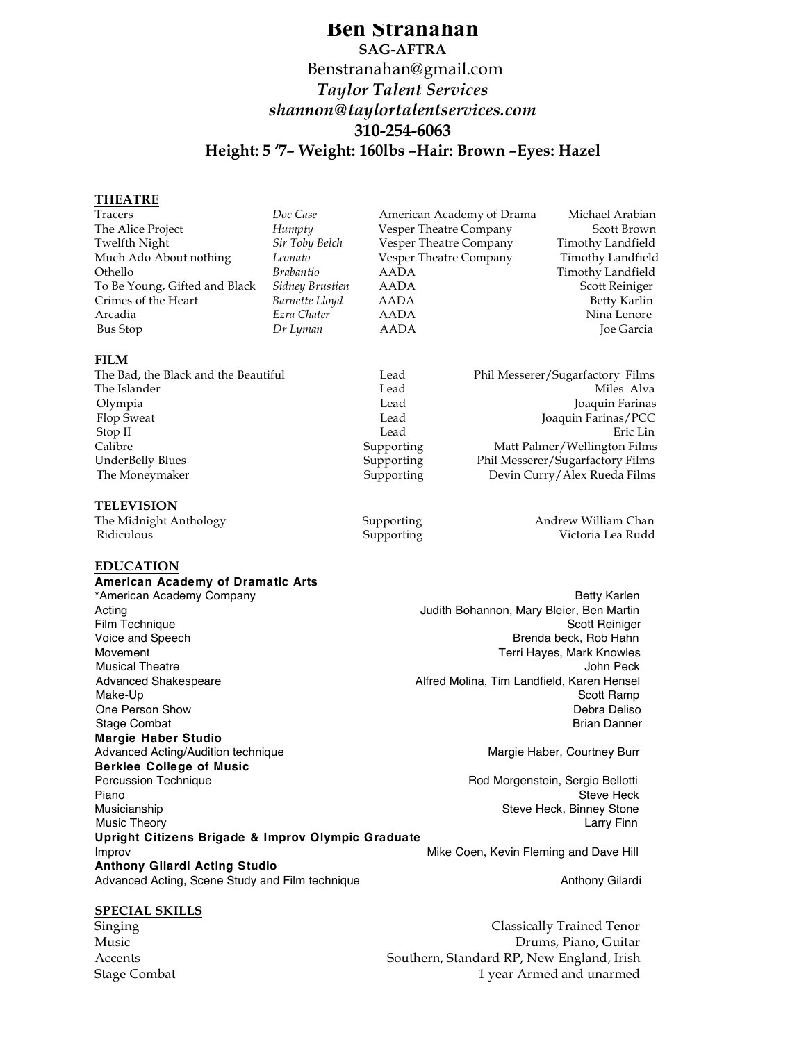### **Ben Stranahan**

## **SAG-AFTRA** Benstranahan@gmail.com *Taylor Talent Services shannon@taylortalentservices.com*  **310-254-6063 Height: 5 '7– Weight: 160lbs –Hair: Brown –Eyes: Hazel**

| Tracers                              | Doc Case         |                        | American Academy of Drama        | Michael Arabian                  |
|--------------------------------------|------------------|------------------------|----------------------------------|----------------------------------|
| The Alice Project                    | Humpty           | Vesper Theatre Company |                                  | Scott Brown                      |
| <b>Twelfth Night</b>                 | Sir Toby Belch   | Vesper Theatre Company |                                  | Timothy Landfield                |
| Much Ado About nothing               | Leonato          | Vesper Theatre Company |                                  | Timothy Landfield                |
| Othello                              | <i>Brabantio</i> | <b>AADA</b>            |                                  | Timothy Landfield                |
| To Be Young, Gifted and Black        | Sidney Brustien  | <b>AADA</b>            |                                  | Scott Reiniger                   |
| Crimes of the Heart                  | Barnette Lloyd   | <b>AADA</b>            |                                  | Betty Karlin                     |
| Arcadia                              | Ezra Chater      | <b>AADA</b>            |                                  | Nina Lenore                      |
| <b>Bus Stop</b>                      | Dr Lyman         | <b>AADA</b>            |                                  | Joe Garcia                       |
| <b>FILM</b>                          |                  |                        |                                  |                                  |
| The Bad, the Black and the Beautiful |                  | Lead                   | Phil Messerer/Sugarfactory Films |                                  |
| The Islander                         |                  | Lead                   |                                  | Miles Alva                       |
| Olympia                              |                  | Lead                   |                                  | Joaquin Farinas                  |
| Flop Sweat                           |                  | Lead                   | Joaquin Farinas/PCC              |                                  |
| Stop II                              |                  | Lead                   |                                  | Eric Lin                         |
| Calibre                              |                  | Supporting             |                                  | Matt Palmer/Wellington Films     |
| UnderBelly Blues                     |                  | Supporting             |                                  | Phil Messerer/Sugarfactory Films |
| The Moneymaker                       |                  | Supporting             | Devin Curry/Alex Rueda Films     |                                  |
| TEI EVICIONI                         |                  |                        |                                  |                                  |

#### **TELEVISION**

**THEATRE**

The Midnight Anthology **Supporting Andrew William Chan** Ridiculous Supporting Victoria Lea Rudd

#### **EDUCATION**

### **American Academy of Dramatic Arts**

Acting **Action** Judith Bohannon, Mary Bleier, Ben Martin Film Technique Scott Reiniger<br>
Voice and Speech Scott Reiniger<br>
Voice and Speech Scott Reiniger<br>
Scott Reiniger<br>
Scott Reiniger Movement **Movement** Movement **Terri Hayes, Mark Knowles** Musical Theatre **Musical Theatre According to the Contract of the Contract of Contract of Contract of Contract of Contract of Contract of Contract of Contract of Contract of Contract of Contract of Contract of Contract of** Advanced Shakespeare **Alfred Molina, Tim Landfield, Karen Hensel**<br>Make-Up Scott Ramp Make-Up Scott Ramp One Person Show **Debra Deliso** Debra Deliso **Debra Deliso** Debra Deliso **Debra Deliso** Stage Combat Brian Danner (Stage Combat Brian Danner Combat Brian Danner Combat Brian Danner Combat Brian Danner **Margie Haber Studio** Advanced Acting/Audition technique Margie Haber, Courtney Burr<br>
Margie Haber, Courtney Burr **Berklee College of Music** Percussion Technique **Rod Morgenstein, Sergio Bellotti**n, Sergio Bellottin, Sergio Bellottin, Sergio Bellottin, Sergio Bellottin, Sergio Bellottin, Sergio Bellottin, Sergio Bellottin, Sergio Bellottin, Sergio Bellottin, Se Piano Steve Heck Musicianship Steve Heck, Binney Stone Music Theory **Larry Finn Upright Citizens Brigade & Improv Olympic Graduate** Improv **Mike Coen, Kevin Fleming and Dave Hill Improv Anthony Gilardi Acting Studio** Advanced Acting, Scene Study and Film technique Anthony Gilardi Anthony Gilardi

#### **SPECIAL SKILLS**

\*American Academy Company **Betty Karlen Betty Karlen** Brenda beck, Rob Hahn

Singing Classically Trained Tenor Music Drums, Piano, Guitar Accents **Southern, Standard RP, New England, Irish** Stage Combat 1 year Armed and unarmed and unarmed and unarmed and unarmed and unarmed and unarmed and unarmed  $\frac{1}{2}$